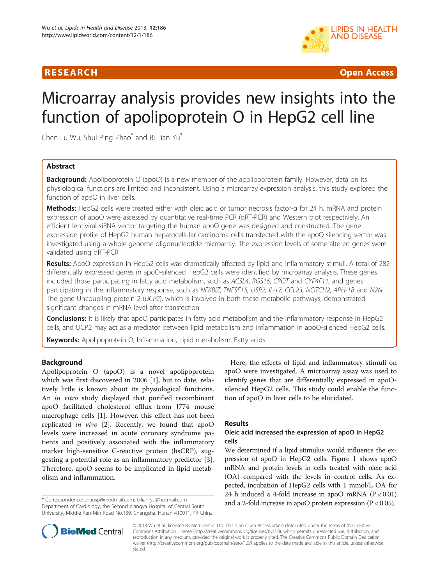## **RESEARCH CHILD CONTROL** CONTROL CONTROL CONTROL CONTROL CONTROL CONTROL CONTROL CONTROL CONTROL CONTROL CONTROL CONTROL CONTROL CONTROL CONTROL CONTROL CONTROL CONTROL CONTROL CONTROL CONTROL CONTROL CONTROL CONTROL CONTR



# Microarray analysis provides new insights into the function of apolipoprotein O in HepG2 cell line

Chen-Lu Wu, Shui-Ping Zhao<sup>\*</sup> and Bi-Lian Yu<sup>\*</sup>

## Abstract

**Background:** Apolipoprotein O (apoO) is a new member of the apolipoprotein family. However, data on its physiological functions are limited and inconsistent. Using a microarray expression analysis, this study explored the function of apoO in liver cells.

Methods: HepG2 cells were treated either with oleic acid or tumor necrosis factor-α for 24 h. mRNA and protein expression of apoO were assessed by quantitative real-time PCR (qRT-PCR) and Western blot respectively. An efficient lentiviral siRNA vector targeting the human apoO gene was designed and constructed. The gene expression profile of HepG2 human hepatocellular carcinoma cells transfected with the apoO silencing vector was investigated using a whole-genome oligonucleotide microarray. The expression levels of some altered genes were validated using qRT-PCR.

Results: ApoO expression in HepG2 cells was dramatically affected by lipid and inflammatory stimuli. A total of 282 differentially expressed genes in apoO-silenced HepG2 cells were identified by microarray analysis. These genes included those participating in fatty acid metabolism, such as ACSL4, RGS16, CROT and CYP4F11, and genes participating in the inflammatory response, such as NFKBIZ, TNFSF15, USP2, IL-17, CCL23, NOTCH2, APH-1B and N2N. The gene Uncoupling protein 2 (UCP2), which is involved in both these metabolic pathways, demonstrated significant changes in mRNA level after transfection.

Conclusions: It is likely that apoO participates in fatty acid metabolism and the inflammatory response in HepG2 cells, and UCP2 may act as a mediator between lipid metabolism and inflammation in apoO-silenced HepG2 cells.

Keywords: Apolipoprotein O, Inflammation, Lipid metabolism, Fatty acids

#### Background

Apolipoprotein O (apoO) is a novel apolipoprotein which was first discovered in 2006 [[1\]](#page-9-0), but to date, relatively little is known about its physiological functions. An in vitro study displayed that purified recombinant apoO facilitated cholesterol efflux from J774 mouse macrophage cells [\[1](#page-9-0)]. However, this effect has not been replicated in vivo [\[2](#page-9-0)]. Recently, we found that apoO levels were increased in acute coronary syndrome patients and positively associated with the inflammatory marker high-sensitive C-reactive protein (hsCRP), suggesting a potential role as an inflammatory predictor [\[3](#page-9-0)]. Therefore, apoO seems to be implicated in lipid metabolism and inflammation.

Department of Cardiology, the Second Xiangya Hospital of Central South University, Middle Ren-Min Road No.139, Changsha, Hunan 410011, PR China

Here, the effects of lipid and inflammatory stimuli on apoO were investigated. A microarray assay was used to identify genes that are differentially expressed in apoOsilenced HepG2 cells. This study could enable the function of apoO in liver cells to be elucidated.

## **Results**

#### Oleic acid increased the expression of apoO in HepG2 cells

We determined if a lipid stimulus would influence the expression of apoO in HepG2 cells. Figure [1](#page-1-0) shows apoO mRNA and protein levels in cells treated with oleic acid (OA) compared with the levels in control cells. As expected, incubation of HepG2 cells with 1 mmol/L OA for 24 h induced a 4-fold increase in apoO mRNA  $(P < 0.01)$ \* Correspondence: [zhaosp@medmail.com;](mailto:zhaosp@medmail.com) [bilian-yu@hotmail.com](mailto:bilian-yu@hotmail.com)<br>Department of Cardiology, the Second Vianova Hospital of Central South and a 2-fold increase in apoO protein expression (P < 0.05).



© 2013 Wu et al.; licensee BioMed Central Ltd. This is an Open Access article distributed under the terms of the Creative Commons Attribution License [\(http://creativecommons.org/licenses/by/2.0\)](http://creativecommons.org/licenses/by/2.0), which permits unrestricted use, distribution, and reproduction in any medium, provided the original work is properly cited. The Creative Commons Public Domain Dedication waiver [\(http://creativecommons.org/publicdomain/zero/1.0/\)](http://creativecommons.org/publicdomain/zero/1.0/) applies to the data made available in this article, unless otherwise stated.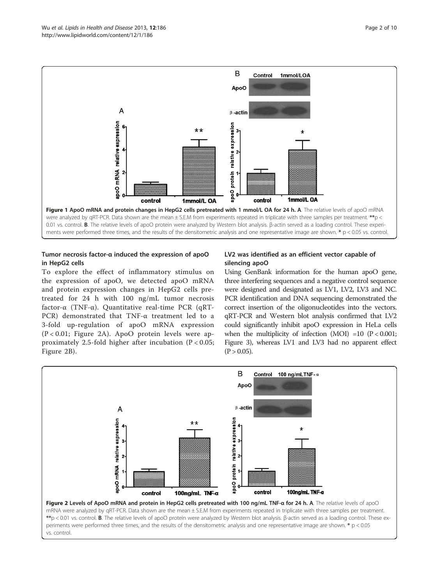<span id="page-1-0"></span>

### Tumor necrosis factor-α induced the expression of apoO in HepG2 cells

To explore the effect of inflammatory stimulus on the expression of apoO, we detected apoO mRNA and protein expression changes in HepG2 cells pretreated for 24 h with 100 ng/mL tumor necrosis factor- $\alpha$  (TNF- $\alpha$ ). Quantitative real-time PCR (qRT-PCR) demonstrated that TNF-α treatment led to a 3-fold up-regulation of apoO mRNA expression (P < 0.01; Figure 2A). ApoO protein levels were approximately 2.5-fold higher after incubation (P < 0.05; Figure 2B).

#### LV2 was identified as an efficient vector capable of silencing apoO

Using GenBank information for the human apoO gene, three interfering sequences and a negative control sequence were designed and designated as LV1, LV2, LV3 and NC. PCR identification and DNA sequencing demonstrated the correct insertion of the oligonucleotides into the vectors. qRT-PCR and Western blot analysis confirmed that LV2 could significantly inhibit apoO expression in HeLa cells when the multiplicity of infection  $(MOI) =10$   $(P < 0.001$ ; Figure [3\)](#page-2-0), whereas LV1 and LV3 had no apparent effect  $(P > 0.05)$ .



\*\*p < 0.01 vs. control. B. The relative levels of apoO protein were analyzed by Western blot analysis. β-actin served as a loading control. These experiments were performed three times, and the results of the densitometric analysis and one representative image are shown. \* p < 0.05 vs. control.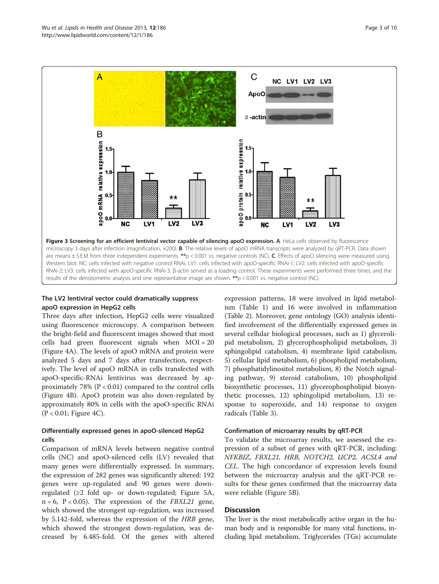<span id="page-2-0"></span>

## The LV2 lentiviral vector could dramatically suppress apoO expression in HepG2 cells

Three days after infection, HepG2 cells were visualized using fluorescence microscopy. A comparison between the bright-field and fluorescent images showed that most cells had green fluorescent signals when MOI = 20 (Figure [4](#page-3-0)A). The levels of apoO mRNA and protein were analyzed 5 days and 7 days after transfection, respectively. The level of apoO mRNA in cells transfected with apoO-specific-RNAi lentivirus was decreased by approximately 78% ( $P < 0.01$ ) compared to the control cells (Figure [4B](#page-3-0)). ApoO protein was also down-regulated by approximately 80% in cells with the apoO-specific RNAi (P < 0.01; Figure [4](#page-3-0)C).

### Differentially expressed genes in apoO-silenced HepG2 cells

Comparison of mRNA levels between negative control cells (NC) and apoO-silenced cells (LV) revealed that many genes were differentially expressed. In summary, the expression of 282 genes was significantly altered: 192 genes were up-regulated and 90 genes were downregulated (≥2 fold up- or down-regulated; Figure [5](#page-3-0)A,  $n = 6$ ,  $P < 0.05$ ). The expression of the *FBXL21* gene, which showed the strongest up-regulation, was increased by 5.142-fold, whereas the expression of the HRB gene, which showed the strongest down-regulation, was decreased by 6.485-fold. Of the genes with altered

expression patterns, 18 were involved in lipid metabolism (Table [1\)](#page-4-0) and 16 were involved in inflammation (Table [2](#page-5-0)). Moreover, gene ontology (GO) analysis identified involvement of the differentially expressed genes in several cellular biological processes, such as 1) glycerolipid metabolism, 2) glycerophospholipid metabolism, 3) sphingolipid catabolism, 4) membrane lipid catabolism, 5) cellular lipid metabolism, 6) phospholipid metabolism, 7) phosphatidylinositol metabolism, 8) the Notch signaling pathway, 9) steroid catabolism, 10) phospholipid biosynthetic processes, 11) glycerophospholipid biosynthetic processes, 12) sphingolipid metabolism, 13) response to superoxide, and 14) response to oxygen radicals (Table [3\)](#page-6-0).

#### Confirmation of microarray results by qRT-PCR

To validate the microarray results, we assessed the expression of a subset of genes with qRT-PCR, including: NFKBIZ, FBXL21, HRB, NOTCH2, UCP2, ACSL4 and CEL. The high concordance of expression levels found between the microarray analysis and the qRT-PCR results for these genes confirmed that the microarray data were reliable (Figure [5](#page-3-0)B).

## **Discussion**

The liver is the most metabolically active organ in the human body and is responsible for many vital functions, including lipid metabolism. Triglycerides (TGs) accumulate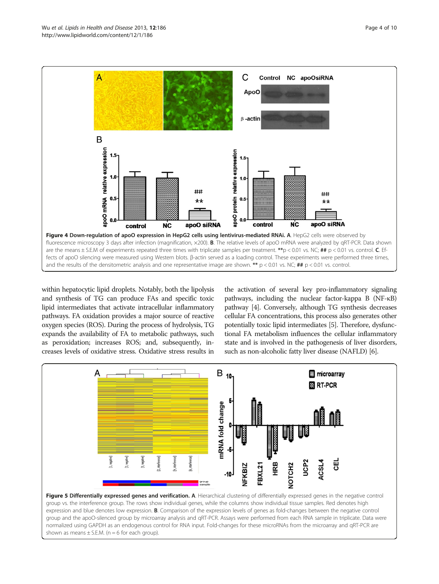<span id="page-3-0"></span>

within hepatocytic lipid droplets. Notably, both the lipolysis and synthesis of TG can produce FAs and specific toxic lipid intermediates that activate intracellular inflammatory pathways. FA oxidation provides a major source of reactive oxygen species (ROS). During the process of hydrolysis, TG expands the availability of FA to metabolic pathways, such as peroxidation; increases ROS; and, subsequently, increases levels of oxidative stress. Oxidative stress results in the activation of several key pro-inflammatory signaling pathways, including the nuclear factor-kappa B (NF-κB) pathway [\[4\]](#page-9-0). Conversely, although TG synthesis decreases cellular FA concentrations, this process also generates other potentially toxic lipid intermediates [\[5\]](#page-9-0). Therefore, dysfunctional FA metabolism influences the cellular inflammatory state and is involved in the pathogenesis of liver disorders, such as non-alcoholic fatty liver disease (NAFLD) [\[6\]](#page-9-0).



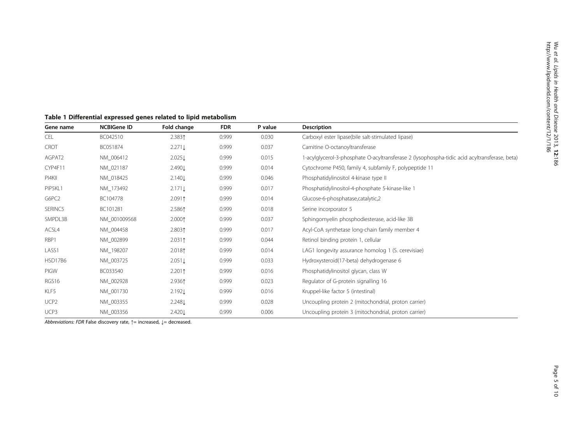| Gene name        | <b>NCBIGene ID</b> | Fold change        | <b>FDR</b> | P value | <b>Description</b>                                                                            |  |
|------------------|--------------------|--------------------|------------|---------|-----------------------------------------------------------------------------------------------|--|
| <b>CEL</b>       | BC042510           | 2.3831             | 0.999      | 0.030   | Carboxyl ester lipase(bile salt-stimulated lipase)                                            |  |
| <b>CROT</b>      | BC051874           | $2.271 \downarrow$ | 0.999      | 0.037   | Carnitine O-octanoyltransferase                                                               |  |
| AGPAT2           | NM_006412          | 2.025              | 0.999      | 0.015   | 1-acylglycerol-3-phosphate O-acyltransferase 2 (lysophospha-tidic acid acyltransferase, beta) |  |
| CYP4F11          | NM_021187          | 2.490 $\downarrow$ | 0.999      | 0.014   | Cytochrome P450, family 4, subfamily F, polypeptide 11                                        |  |
| PI4KII           | NM_018425          | 2.140L             | 0.999      | 0.046   | Phosphatidylinositol 4-kinase type II                                                         |  |
| PIP5KL1          | NM_173492          | $2.171 \downarrow$ | 0.999      | 0.017   | Phosphatidylinositol-4-phosphate 5-kinase-like 1                                              |  |
| G6PC2            | BC104778           | $2.091$ ↑          | 0.999      | 0.014   | Glucose-6-phosphatase,catalytic,2                                                             |  |
| SERINC5          | BC101281           | 2.5861             | 0.999      | 0.018   | Serine incorporator 5                                                                         |  |
| SMPDL3B          | NM_001009568       | 2.0001             | 0.999      | 0.037   | Sphingomyelin phosphodiesterase, acid-like 3B                                                 |  |
| ACSL4            | NM_004458          | 2.8031             | 0.999      | 0.017   | Acyl-CoA synthetase long-chain family member 4                                                |  |
| RBP1             | NM_002899          | $2.031$ ↑          | 0.999      | 0.044   | Retinol binding protein 1, cellular                                                           |  |
| LASS1            | NM_198207          | 2.018 <sup>†</sup> | 0.999      | 0.014   | LAG1 longevity assurance homolog 1 (S. cerevisiae)                                            |  |
| <b>HSD17B6</b>   | NM_003725          | $2.051 \downarrow$ | 0.999      | 0.033   | Hydroxysteroid(17-beta) dehydrogenase 6                                                       |  |
| PIGW             | BC033540           | $2.201$ ↑          | 0.999      | 0.016   | Phosphatidylinositol glycan, class W                                                          |  |
| RGS16            | NM_002928          | 2.9361             | 0.999      | 0.023   | Regulator of G-protein signalling 16                                                          |  |
| KLF5             | NM_001730          | 2.192L             | 0.999      | 0.016   | Kruppel-like factor 5 (intestinal)                                                            |  |
| UCP <sub>2</sub> | NM_003355          | 2.248L             | 0.999      | 0.028   | Uncoupling protein 2 (mitochondrial, proton carrier)                                          |  |
| UCP3             | NM_003356          | 2.4201             | 0.999      | 0.006   | Uncoupling protein 3 (mitochondrial, proton carrier)                                          |  |

## <span id="page-4-0"></span>Table 1 Differential expressed genes related to lipid metabolism

Abbreviations: FDR False discovery rate, ↑= increased, ↓= decreased.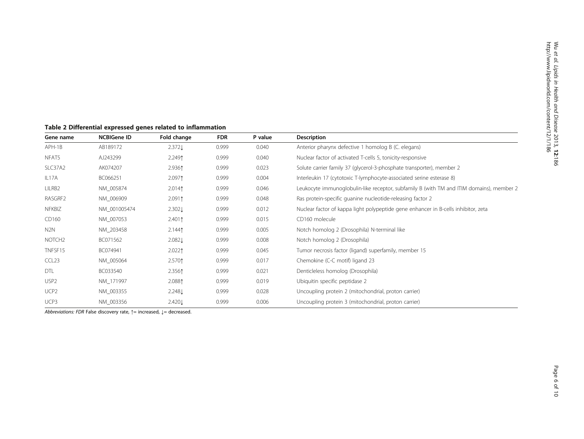| Gene name          | <b>NCBIGene ID</b> | Fold change       | <b>FDR</b> | P value | <b>Description</b>                                                                       |  |
|--------------------|--------------------|-------------------|------------|---------|------------------------------------------------------------------------------------------|--|
| APH-1B             | AB189172           | 2.372L            | 0.999      | 0.040   | Anterior pharynx defective 1 homolog B (C. elegans)                                      |  |
| NFAT5              | AJ243299           | 2.2491            | 0.999      | 0.040   | Nuclear factor of activated T-cells 5, tonicity-responsive                               |  |
| SLC37A2            | AK074207           | 2.9361            | 0.999      | 0.023   | Solute carrier family 37 (glycerol-3-phosphate transporter), member 2                    |  |
| IL17A              | BC066251           | 2.0971            | 0.999      | 0.004   | Interleukin 17 (cytotoxic T-lymphocyte-associated serine esterase 8)                     |  |
| LILRB2             | NM_005874          | 2.0141            | 0.999      | 0.046   | Leukocyte immunoglobulin-like receptor, subfamily B (with TM and ITIM domains), member 2 |  |
| RASGRF2            | NM 006909          | 2.0911            | 0.999      | 0.048   | Ras protein-specific quanine nucleotide-releasing factor 2                               |  |
| NFKBIZ             | NM 001005474       | $2.302\downarrow$ | 0.999      | 0.012   | Nuclear factor of kappa light polypeptide gene enhancer in B-cells inhibitor, zeta       |  |
| CD160              | NM_007053          | 2.4011            | 0.999      | 0.015   | CD160 molecule                                                                           |  |
| N2N                | NM 203458          | 2.1441            | 0.999      | 0.005   | Notch homolog 2 (Drosophila) N-terminal like                                             |  |
| NOTCH <sub>2</sub> | BC071562           | 2.0821            | 0.999      | 0.008   | Notch homolog 2 (Drosophila)                                                             |  |
| TNFSF15            | BC074941           | 2.0221            | 0.999      | 0.045   | Tumor necrosis factor (ligand) superfamily, member 15                                    |  |
| CCL <sub>23</sub>  | NM_005064          | 2.5701            | 0.999      | 0.017   | Chemokine (C-C motif) ligand 23                                                          |  |
| DTL                | BC033540           | 2.3561            | 0.999      | 0.021   | Denticleless homolog (Drosophila)                                                        |  |
| USP <sub>2</sub>   | NM 171997          | 2.0881            | 0.999      | 0.019   | Ubiquitin specific peptidase 2                                                           |  |
| UCP <sub>2</sub>   | NM 003355          | 2.2481            | 0.999      | 0.028   | Uncoupling protein 2 (mitochondrial, proton carrier)                                     |  |
| UCP3               | NM_003356          | 2.4201            | 0.999      | 0.006   | Uncoupling protein 3 (mitochondrial, proton carrier)                                     |  |

<span id="page-5-0"></span>Table 2 Differential expressed genes related to inflammation

Abbreviations: FDR False discovery rate,  $\uparrow$  = increased,  $\downarrow$  = decreased.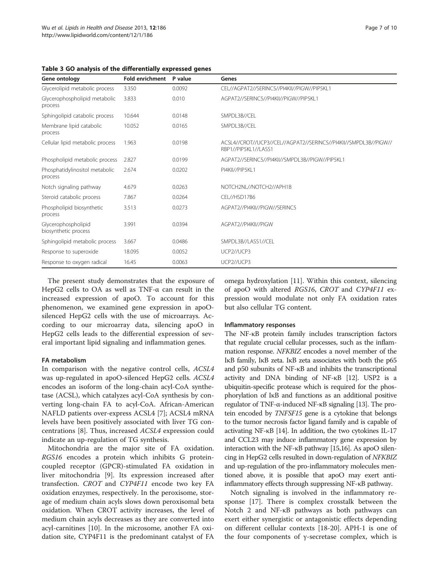| Gene ontology                               | <b>Fold enrichment</b> | P value | Genes                                                                                    |
|---------------------------------------------|------------------------|---------|------------------------------------------------------------------------------------------|
| Glycerolipid metabolic process              | 3.350                  | 0.0092  | CEL//AGPAT2//SERINC5//PI4KII//PIGW//PIP5KL1                                              |
| Glycerophospholipid metabolic<br>process    | 3.833                  | 0.010   | AGPAT2//SERINC5//PI4KII//PIGW//PIP5KL1                                                   |
| Sphingolipid catabolic process              | 10.644                 | 0.0148  | SMPDL3B//CEL                                                                             |
| Membrane lipid catabolic<br>process         | 10.052                 | 0.0165  | SMPDL3B//CEL                                                                             |
| Cellular lipid metabolic process            | 1.963                  | 0.0198  | ACSL4//CROT//UCP3//CEL//AGPAT2//SERINC5//PI4KII//SMPDL3B//PIGW//<br>RBP1//PIP5KL1//LASS1 |
| Phospholipid metabolic process              | 2.827                  | 0.0199  | AGPAT2//SERINC5//PI4KII//SMPDL3B//PIGW//PIP5KL1                                          |
| Phosphatidylinositol metabolic<br>process   | 2.674                  | 0.0202  | PI4KII//PIP5KL1                                                                          |
| Notch signaling pathway                     | 4.679                  | 0.0263  | NOTCH2NL//NOTCH2//APH1B                                                                  |
| Steroid catabolic process                   | 7.867                  | 0.0264  | CEL//HSD17B6                                                                             |
| Phospholipid biosynthetic<br>process        | 3.513                  | 0.0273  | AGPAT2//PI4KII//PIGW//SERINC5                                                            |
| Glycerophospholipid<br>biosynthetic process | 3.991                  | 0.0394  | AGPAT2//PI4KII//PIGW                                                                     |
| Sphingolipid metabolic process              | 3.667                  | 0.0486  | SMPDL3B//LASS1//CEL                                                                      |
| Response to superoxide                      | 18.095                 | 0.0052  | UCP2//UCP3                                                                               |
| Response to oxygen radical                  | 16.45                  | 0.0063  | UCP2//UCP3                                                                               |

<span id="page-6-0"></span>Table 3 GO analysis of the differentially expressed genes

The present study demonstrates that the exposure of HepG2 cells to OA as well as TNF-α can result in the increased expression of apoO. To account for this phenomenon, we examined gene expression in apoOsilenced HepG2 cells with the use of microarrays. According to our microarray data, silencing apoO in HepG2 cells leads to the differential expression of several important lipid signaling and inflammation genes.

#### FA metabolism

In comparison with the negative control cells, ACSL4 was up-regulated in apoO-silenced HepG2 cells. ACSL4 encodes an isoform of the long-chain acyl-CoA synthetase (ACSL), which catalyzes acyl-CoA synthesis by converting long-chain FA to acyl-CoA. African-American NAFLD patients over-express ACSL4 [[7](#page-9-0)]; ACSL4 mRNA levels have been positively associated with liver TG concentrations [[8\]](#page-9-0). Thus, increased ACSL4 expression could indicate an up-regulation of TG synthesis.

Mitochondria are the major site of FA oxidation. RGS16 encodes a protein which inhibits G proteincoupled receptor (GPCR)-stimulated FA oxidation in liver mitochondria [\[9](#page-9-0)]. Its expression increased after transfection. CROT and CYP4F11 encode two key FA oxidation enzymes, respectively. In the peroxisome, storage of medium chain acyls slows down peroxisomal beta oxidation. When CROT activity increases, the level of medium chain acyls decreases as they are converted into acyl-carnitines [[10\]](#page-9-0). In the microsome, another FA oxidation site, CYP4F11 is the predominant catalyst of FA omega hydroxylation [[11](#page-9-0)]. Within this context, silencing of apoO with altered RGS16, CROT and CYP4F11 expression would modulate not only FA oxidation rates but also cellular TG content.

#### Inflammatory responses

The NF-κB protein family includes transcription factors that regulate crucial cellular processes, such as the inflammation response. NFKBIZ encodes a novel member of the IκB family, IκB zeta. IκB zeta associates with both the p65 and p50 subunits of NF-κB and inhibits the transcriptional activity and DNA binding of NF-κB [[12](#page-9-0)]. USP2 is a ubiquitin-specific protease which is required for the phosphorylation of IκB and functions as an additional positive regulator of TNF-α-induced NF-κB signaling [\[13\]](#page-9-0). The protein encoded by TNFSF15 gene is a cytokine that belongs to the tumor necrosis factor ligand family and is capable of activating NF-κB [[14\]](#page-9-0). In addition, the two cytokines IL-17 and CCL23 may induce inflammatory gene expression by interaction with the NF-κB pathway [\[15,16](#page-9-0)]. As apoO silencing in HepG2 cells resulted in down-regulation of NFKBIZ and up-regulation of the pro-inflammatory molecules mentioned above, it is possible that apoO may exert antiinflammatory effects through suppressing NF-κB pathway.

Notch signaling is involved in the inflammatory response [\[17](#page-9-0)]. There is complex crosstalk between the Notch 2 and NF-κB pathways as both pathways can exert either synergistic or antagonistic effects depending on different cellular contexts [[18-20\]](#page-9-0). APH-1 is one of the four components of γ-secretase complex, which is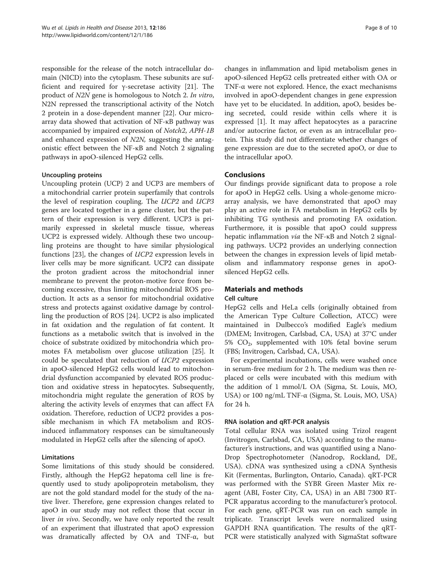responsible for the release of the notch intracellular domain (NICD) into the cytoplasm. These subunits are sufficient and required for γ-secretase activity [[21\]](#page-9-0). The product of N2N gene is homologous to Notch 2. In vitro, N2N repressed the transcriptional activity of the Notch 2 protein in a dose-dependent manner [\[22](#page-9-0)]. Our microarray data showed that activation of NF-κB pathway was accompanied by impaired expression of Notch2, APH-1B and enhanced expression of N2N, suggesting the antagonistic effect between the NF-κB and Notch 2 signaling pathways in apoO-silenced HepG2 cells.

#### Uncoupling proteins

Uncoupling protein (UCP) 2 and UCP3 are members of a mitochondrial carrier protein superfamily that controls the level of respiration coupling. The UCP2 and UCP3 genes are located together in a gene cluster, but the pattern of their expression is very different. UCP3 is primarily expressed in skeletal muscle tissue, whereas UCP2 is expressed widely. Although these two uncoupling proteins are thought to have similar physiological functions [\[23\]](#page-9-0), the changes of UCP2 expression levels in liver cells may be more significant. UCP2 can dissipate the proton gradient across the mitochondrial inner membrane to prevent the proton-motive force from becoming excessive, thus limiting mitochondrial ROS production. It acts as a sensor for mitochondrial oxidative stress and protects against oxidative damage by controlling the production of ROS [[24](#page-9-0)]. UCP2 is also implicated in fat oxidation and the regulation of fat content. It functions as a metabolic switch that is involved in the choice of substrate oxidized by mitochondria which promotes FA metabolism over glucose utilization [[25\]](#page-9-0). It could be speculated that reduction of UCP2 expression in apoO-silenced HepG2 cells would lead to mitochondrial dysfunction accompanied by elevated ROS production and oxidative stress in hepatocytes. Subsequently, mitochondria might regulate the generation of ROS by altering the activity levels of enzymes that can affect FA oxidation. Therefore, reduction of UCP2 provides a possible mechanism in which FA metabolism and ROSinduced inflammatory responses can be simultaneously modulated in HepG2 cells after the silencing of apoO.

## Limitations

Some limitations of this study should be considered. Firstly, although the HepG2 hepatoma cell line is frequently used to study apolipoprotein metabolism, they are not the gold standard model for the study of the native liver. Therefore, gene expression changes related to apoO in our study may not reflect those that occur in liver *in vivo*. Secondly, we have only reported the result of an experiment that illustrated that apoO expression was dramatically affected by OA and TNF-α, but

changes in inflammation and lipid metabolism genes in apoO-silenced HepG2 cells pretreated either with OA or TNF-α were not explored. Hence, the exact mechanisms involved in apoO-dependent changes in gene expression have yet to be elucidated. In addition, apoO, besides being secreted, could reside within cells where it is expressed [\[1](#page-9-0)]. It may affect hepatocytes as a paracrine and/or autocrine factor, or even as an intracellular protein. This study did not differentiate whether changes of gene expression are due to the secreted apoO, or due to the intracellular apoO.

## Conclusions

Our findings provide significant data to propose a role for apoO in HepG2 cells. Using a whole-genome microarray analysis, we have demonstrated that apoO may play an active role in FA metabolism in HepG2 cells by inhibiting TG synthesis and promoting FA oxidation. Furthermore, it is possible that apoO could suppress hepatic inflammation via the NF-κB and Notch 2 signaling pathways. UCP2 provides an underlying connection between the changes in expression levels of lipid metabolism and inflammatory response genes in apoOsilenced HepG2 cells.

### Materials and methods

#### Cell culture

HepG2 cells and HeLa cells (originally obtained from the American Type Culture Collection, ATCC) were maintained in Dulbecco's modified Eagle's medium (DMEM; Invitrogen, Carlsbad, CA, USA) at 37°C under 5%  $CO<sub>2</sub>$ , supplemented with 10% fetal bovine serum (FBS; Invitrogen, Carlsbad, CA, USA).

For experimental incubations, cells were washed once in serum-free medium for 2 h. The medium was then replaced or cells were incubated with this medium with the addition of 1 mmol/L OA (Sigma, St. Louis, MO, USA) or 100 ng/mL TNF-α (Sigma, St. Louis, MO, USA) for 24 h.

#### RNA isolation and qRT-PCR analysis

Total cellular RNA was isolated using Trizol reagent (Invitrogen, Carlsbad, CA, USA) according to the manufacturer's instructions, and was quantified using a Nano-Drop Spectrophotometer (Nanodrop, Rockland, DE, USA). cDNA was synthesized using a cDNA Synthesis Kit (Fermentas, Burlington, Ontario, Canada). qRT-PCR was performed with the SYBR Green Master Mix reagent (ABI, Foster City, CA, USA) in an ABI 7300 RT-PCR apparatus according to the manufacturer's protocol. For each gene, qRT-PCR was run on each sample in triplicate. Transcript levels were normalized using GAPDH RNA quantification. The results of the qRT-PCR were statistically analyzed with SigmaStat software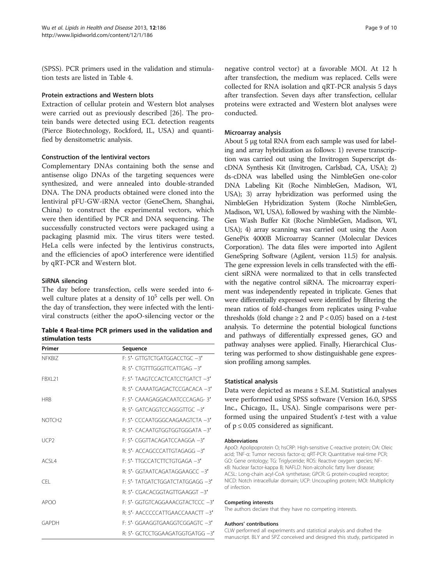(SPSS). PCR primers used in the validation and stimulation tests are listed in Table 4.

#### Protein extractions and Western blots

Extraction of cellular protein and Western blot analyses were carried out as previously described [[26\]](#page-9-0). The protein bands were detected using ECL detection reagents (Pierce Biotechnology, Rockford, IL, USA) and quantified by densitometric analysis.

#### Construction of the lentiviral vectors

Complementary DNAs containing both the sense and antisense oligo DNAs of the targeting sequences were synthesized, and were annealed into double-stranded DNA. The DNA products obtained were cloned into the lentiviral pFU-GW-iRNA vector (GeneChem, Shanghai, China) to construct the experimental vectors, which were then identified by PCR and DNA sequencing. The successfully constructed vectors were packaged using a packaging plasmid mix. The virus titers were tested. HeLa cells were infected by the lentivirus constructs, and the efficiencies of apoO interference were identified by qRT-PCR and Western blot.

#### SiRNA silencing

The day before transfection, cells were seeded into 6 well culture plates at a density of  $10^5$  cells per well. On the day of transfection, they were infected with the lentiviral constructs (either the apoO-silencing vector or the

| Table 4 Real-time PCR primers used in the validation and |  |  |
|----------------------------------------------------------|--|--|
| stimulation tests                                        |  |  |

| Primer             | Sequence                           |
|--------------------|------------------------------------|
| NFKBI7             | F: 5'- GTTGTCTGATGGACCTGC -3'      |
|                    | $R: 5'$ - CTGTTTGGGTTCATTGAG $-3'$ |
| <b>FRXI 21</b>     | F: 5'- TAAGTCCACTCATCCTGATCT -3'   |
|                    | R. 5'- CAAAATGAGACTCCGACACA -3'    |
| <b>HRR</b>         | F. 5'- CAAAGAGGACAATCCCAGAG-3'     |
|                    | R. 5'- GATCAGGTCCAGGGTTGC -3'      |
| NOTCH <sub>2</sub> | F: 5'- CCCAATGGGCAAGAAGTCTA -3'    |
|                    | R. 5'- CACAATGTGGTGGTGGGATA -3'    |
| LICP <sub>2</sub>  | $F: 5'$ - CGGTTACAGATCCAAGGA $-3'$ |
|                    | R: 5'- ACCAGCCCATTGTAGAGG -3'      |
| ACSI4              | F: 5'- TTGCCATCTTCTGTGAGA -3'      |
|                    | R: 5'- GGTAATCAGATAGGAAGCC -3'     |
| <b>CEL</b>         | F: 5'- TATGATCTGGATCTATGGAGG -3'   |
|                    | R: 5'- CGACACGGTAGTTGAAGGT -3'     |
| APOO               | F: 5'- GGTGTCAGGAAACGTACTCCC -3'   |
|                    | R: 5'- AACCCCCATTGAACCAAACTT -3'   |
| GAPDH              | F: 5'- GGAAGGTGAAGGTCGGAGTC -3'    |
|                    | R: 5'- GCTCCTGGAAGATGGTGATGG -3'   |

negative control vector) at a favorable MOI. At 12 h after transfection, the medium was replaced. Cells were collected for RNA isolation and qRT-PCR analysis 5 days after transfection. Seven days after transfection, cellular proteins were extracted and Western blot analyses were conducted.

#### Microarray analysis

About 5 μg total RNA from each sample was used for labeling and array hybridization as follows: 1) reverse transcription was carried out using the Invitrogen Superscript dscDNA Synthesis Kit (Invitrogen, Carlsbad, CA, USA); 2) ds-cDNA was labelled using the NimbleGen one-color DNA Labeling Kit (Roche NimbleGen, Madison, WI, USA); 3) array hybridization was performed using the NimbleGen Hybridization System (Roche NimbleGen, Madison, WI, USA), followed by washing with the Nimble-Gen Wash Buffer Kit (Roche NimbleGen, Madison, WI, USA); 4) array scanning was carried out using the Axon GenePix 4000B Microarray Scanner (Molecular Devices Corporation). The data files were imported into Agilent GeneSpring Software (Agilent, version 11.5) for analysis. The gene expression levels in cells transfected with the efficient siRNA were normalized to that in cells transfected with the negative control siRNA. The microarray experiment was independently repeated in triplicate. Genes that were differentially expressed were identified by filtering the mean ratios of fold-changes from replicates using P-value thresholds (fold change  $\geq 2$  and  $P < 0.05$ ) based on a *t*-test analysis. To determine the potential biological functions and pathways of differentially expressed genes, GO and pathway analyses were applied. Finally, Hierarchical Clustering was performed to show distinguishable gene expression profiling among samples.

#### Statistical analysis

Data were depicted as means ± S.E.M. Statistical analyses were performed using SPSS software (Version 16.0, SPSS Inc., Chicago, IL, USA). Single comparisons were performed using the unpaired Student's t-test with a value of  $p \leq 0.05$  considered as significant.

#### Abbreviations

ApoO: Apolipoprotein O; hsCRP: High-sensitive C-reactive protein; OA: Oleic acid; TNF-α: Tumor necrosis factor-α; qRT-PCR: Quantitative real-time PCR; GO: Gene ontology; TG: Triglyceride; ROS: Reactive oxygen species; NFκB: Nuclear factor-kappa B; NAFLD: Non-alcoholic fatty liver disease; ACSL: Long-chain acyl-CoA synthetase; GPCR: G protein-coupled receptor; NICD: Notch intracellular domain; UCP: Uncoupling protein; MOI: Multiplicity of infection.

#### Competing interests

The authors declare that they have no competing interests.

#### Authors' contributions

CLW performed all experiments and statistical analysis and drafted the manuscript. BLY and SPZ conceived and designed this study, participated in